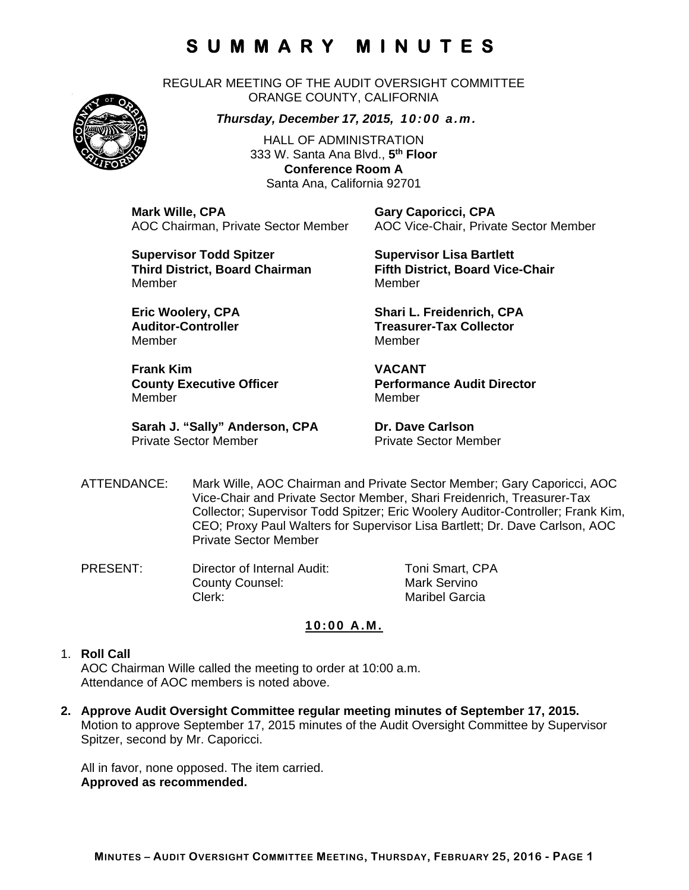REGULAR MEETING OF THE AUDIT OVERSIGHT COMMITTEE ORANGE COUNTY, CALIFORNIA

*Thursday, December 17, 2015, 10:00 a.m.*

HALL OF ADMINISTRATION 333 W. Santa Ana Blvd., **5th Floor Conference Room A**  Santa Ana, California 92701

**Mark Wille, CPA Gary Caporicci, CPA** 

AOC Chairman, Private Sector Member AOC Vice-Chair, Private Sector Member

**Supervisor Todd Spitzer Supervisor Lisa Bartlett Third District, Board Chairman Fifth District, Board Vice-Chair**  MemberMember

Member Member

**Frank Kim VACANT**  Member Member

**Sarah J. "Sally" Anderson, CPA Dr. Dave Carlson**<br>Private Sector Member **Dr. Private Sector Men** 

**Eric Woolery, CPA** Shari L. Freidenrich, CPA **Auditor-Controller Treasurer-Tax Collector** 

**County Executive Officer Theory Performance Audit Director** 

Private Sector Member

- ATTENDANCE: Mark Wille, AOC Chairman and Private Sector Member; Gary Caporicci, AOC Vice-Chair and Private Sector Member, Shari Freidenrich, Treasurer-Tax Collector; Supervisor Todd Spitzer; Eric Woolery Auditor-Controller; Frank Kim, CEO; Proxy Paul Walters for Supervisor Lisa Bartlett; Dr. Dave Carlson, AOC Private Sector Member
- PRESENT: Director of Internal Audit: Toni Smart, CPA County Counsel: Mark Servino Clerk: Maribel Garcia

### **10:00 A.M.**

#### 1. **Roll Call**

AOC Chairman Wille called the meeting to order at 10:00 a.m. Attendance of AOC members is noted above.

**2. Approve Audit Oversight Committee regular meeting minutes of September 17, 2015.**  Motion to approve September 17, 2015 minutes of the Audit Oversight Committee by Supervisor Spitzer, second by Mr. Caporicci.

All in favor, none opposed. The item carried. **Approved as recommended.** 

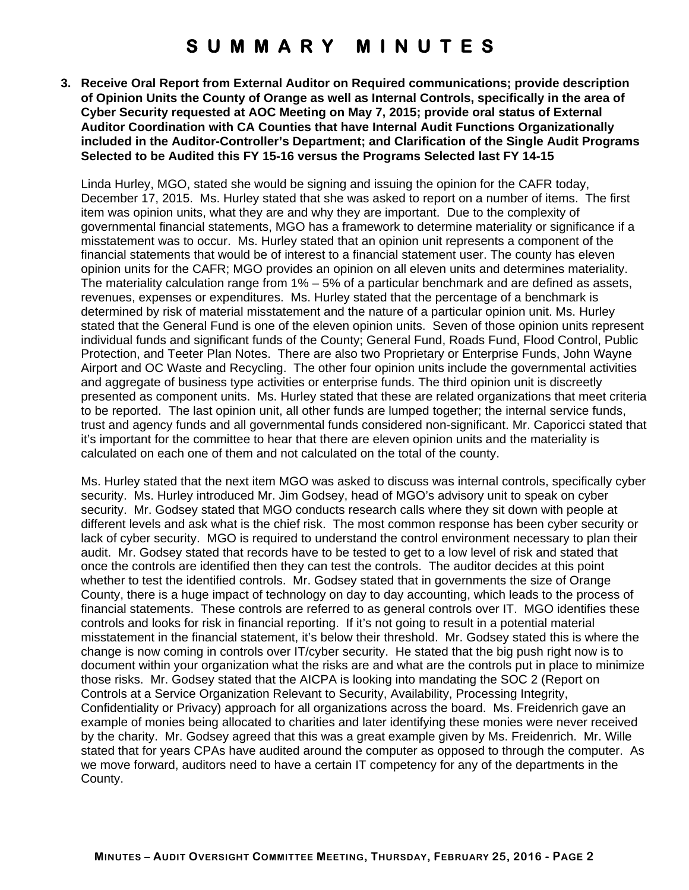**3. Receive Oral Report from External Auditor on Required communications; provide description of Opinion Units the County of Orange as well as Internal Controls, specifically in the area of Cyber Security requested at AOC Meeting on May 7, 2015; provide oral status of External Auditor Coordination with CA Counties that have Internal Audit Functions Organizationally included in the Auditor-Controller's Department; and Clarification of the Single Audit Programs Selected to be Audited this FY 15-16 versus the Programs Selected last FY 14-15** 

Linda Hurley, MGO, stated she would be signing and issuing the opinion for the CAFR today, December 17, 2015. Ms. Hurley stated that she was asked to report on a number of items. The first item was opinion units, what they are and why they are important. Due to the complexity of governmental financial statements, MGO has a framework to determine materiality or significance if a misstatement was to occur. Ms. Hurley stated that an opinion unit represents a component of the financial statements that would be of interest to a financial statement user. The county has eleven opinion units for the CAFR; MGO provides an opinion on all eleven units and determines materiality. The materiality calculation range from 1% – 5% of a particular benchmark and are defined as assets, revenues, expenses or expenditures. Ms. Hurley stated that the percentage of a benchmark is determined by risk of material misstatement and the nature of a particular opinion unit. Ms. Hurley stated that the General Fund is one of the eleven opinion units. Seven of those opinion units represent individual funds and significant funds of the County; General Fund, Roads Fund, Flood Control, Public Protection, and Teeter Plan Notes. There are also two Proprietary or Enterprise Funds, John Wayne Airport and OC Waste and Recycling. The other four opinion units include the governmental activities and aggregate of business type activities or enterprise funds. The third opinion unit is discreetly presented as component units. Ms. Hurley stated that these are related organizations that meet criteria to be reported. The last opinion unit, all other funds are lumped together; the internal service funds, trust and agency funds and all governmental funds considered non-significant. Mr. Caporicci stated that it's important for the committee to hear that there are eleven opinion units and the materiality is calculated on each one of them and not calculated on the total of the county.

Ms. Hurley stated that the next item MGO was asked to discuss was internal controls, specifically cyber security. Ms. Hurley introduced Mr. Jim Godsey, head of MGO's advisory unit to speak on cyber security. Mr. Godsey stated that MGO conducts research calls where they sit down with people at different levels and ask what is the chief risk. The most common response has been cyber security or lack of cyber security. MGO is required to understand the control environment necessary to plan their audit. Mr. Godsey stated that records have to be tested to get to a low level of risk and stated that once the controls are identified then they can test the controls. The auditor decides at this point whether to test the identified controls. Mr. Godsey stated that in governments the size of Orange County, there is a huge impact of technology on day to day accounting, which leads to the process of financial statements. These controls are referred to as general controls over IT. MGO identifies these controls and looks for risk in financial reporting. If it's not going to result in a potential material misstatement in the financial statement, it's below their threshold. Mr. Godsey stated this is where the change is now coming in controls over IT/cyber security. He stated that the big push right now is to document within your organization what the risks are and what are the controls put in place to minimize those risks. Mr. Godsey stated that the AICPA is looking into mandating the SOC 2 (Report on Controls at a Service Organization Relevant to Security, Availability, Processing Integrity, Confidentiality or Privacy) approach for all organizations across the board. Ms. Freidenrich gave an example of monies being allocated to charities and later identifying these monies were never received by the charity. Mr. Godsey agreed that this was a great example given by Ms. Freidenrich. Mr. Wille stated that for years CPAs have audited around the computer as opposed to through the computer. As we move forward, auditors need to have a certain IT competency for any of the departments in the County.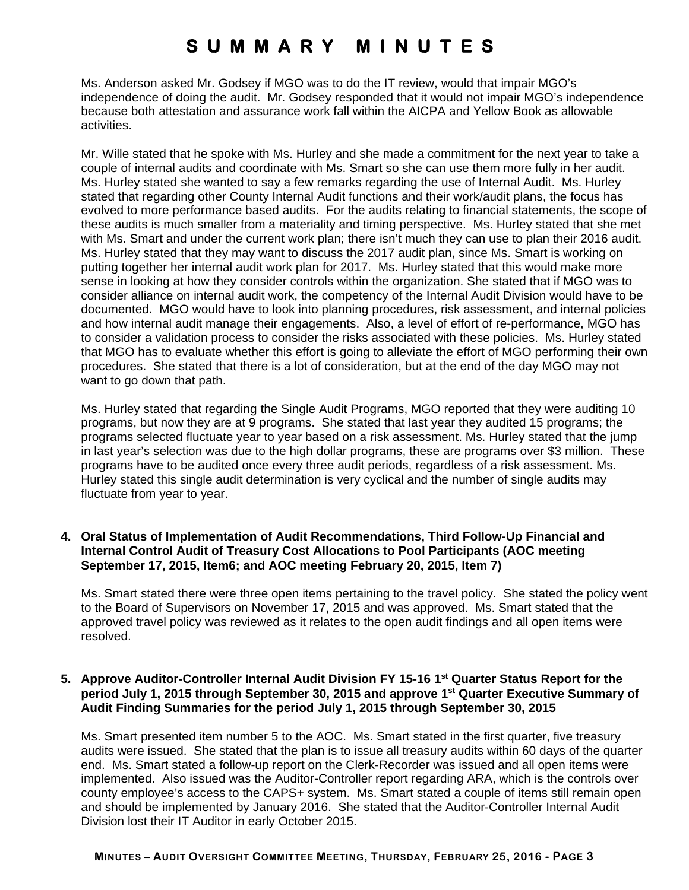Ms. Anderson asked Mr. Godsey if MGO was to do the IT review, would that impair MGO's independence of doing the audit. Mr. Godsey responded that it would not impair MGO's independence because both attestation and assurance work fall within the AICPA and Yellow Book as allowable activities.

Mr. Wille stated that he spoke with Ms. Hurley and she made a commitment for the next year to take a couple of internal audits and coordinate with Ms. Smart so she can use them more fully in her audit. Ms. Hurley stated she wanted to say a few remarks regarding the use of Internal Audit. Ms. Hurley stated that regarding other County Internal Audit functions and their work/audit plans, the focus has evolved to more performance based audits. For the audits relating to financial statements, the scope of these audits is much smaller from a materiality and timing perspective. Ms. Hurley stated that she met with Ms. Smart and under the current work plan; there isn't much they can use to plan their 2016 audit. Ms. Hurley stated that they may want to discuss the 2017 audit plan, since Ms. Smart is working on putting together her internal audit work plan for 2017. Ms. Hurley stated that this would make more sense in looking at how they consider controls within the organization. She stated that if MGO was to consider alliance on internal audit work, the competency of the Internal Audit Division would have to be documented. MGO would have to look into planning procedures, risk assessment, and internal policies and how internal audit manage their engagements. Also, a level of effort of re-performance, MGO has to consider a validation process to consider the risks associated with these policies. Ms. Hurley stated that MGO has to evaluate whether this effort is going to alleviate the effort of MGO performing their own procedures. She stated that there is a lot of consideration, but at the end of the day MGO may not want to go down that path.

Ms. Hurley stated that regarding the Single Audit Programs, MGO reported that they were auditing 10 programs, but now they are at 9 programs. She stated that last year they audited 15 programs; the programs selected fluctuate year to year based on a risk assessment. Ms. Hurley stated that the jump in last year's selection was due to the high dollar programs, these are programs over \$3 million. These programs have to be audited once every three audit periods, regardless of a risk assessment. Ms. Hurley stated this single audit determination is very cyclical and the number of single audits may fluctuate from year to year.

### **4. Oral Status of Implementation of Audit Recommendations, Third Follow-Up Financial and Internal Control Audit of Treasury Cost Allocations to Pool Participants (AOC meeting September 17, 2015, Item6; and AOC meeting February 20, 2015, Item 7)**

Ms. Smart stated there were three open items pertaining to the travel policy. She stated the policy went to the Board of Supervisors on November 17, 2015 and was approved. Ms. Smart stated that the approved travel policy was reviewed as it relates to the open audit findings and all open items were resolved.

### **5. Approve Auditor-Controller Internal Audit Division FY 15-16 1st Quarter Status Report for the period July 1, 2015 through September 30, 2015 and approve 1st Quarter Executive Summary of Audit Finding Summaries for the period July 1, 2015 through September 30, 2015**

Ms. Smart presented item number 5 to the AOC. Ms. Smart stated in the first quarter, five treasury audits were issued. She stated that the plan is to issue all treasury audits within 60 days of the quarter end. Ms. Smart stated a follow-up report on the Clerk-Recorder was issued and all open items were implemented. Also issued was the Auditor-Controller report regarding ARA, which is the controls over county employee's access to the CAPS+ system. Ms. Smart stated a couple of items still remain open and should be implemented by January 2016. She stated that the Auditor-Controller Internal Audit Division lost their IT Auditor in early October 2015.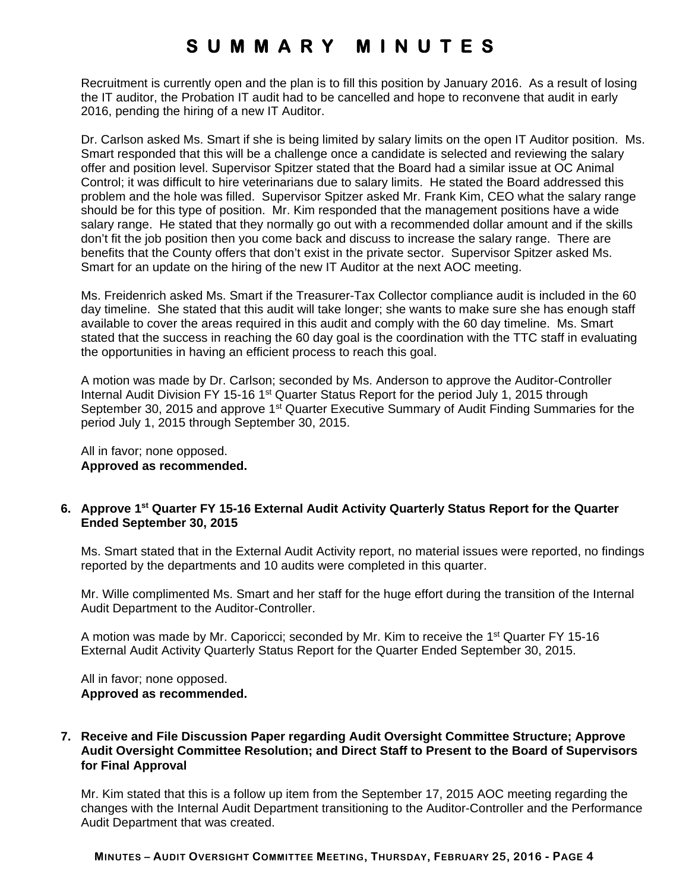Recruitment is currently open and the plan is to fill this position by January 2016. As a result of losing the IT auditor, the Probation IT audit had to be cancelled and hope to reconvene that audit in early 2016, pending the hiring of a new IT Auditor.

Dr. Carlson asked Ms. Smart if she is being limited by salary limits on the open IT Auditor position. Ms. Smart responded that this will be a challenge once a candidate is selected and reviewing the salary offer and position level. Supervisor Spitzer stated that the Board had a similar issue at OC Animal Control; it was difficult to hire veterinarians due to salary limits. He stated the Board addressed this problem and the hole was filled. Supervisor Spitzer asked Mr. Frank Kim, CEO what the salary range should be for this type of position. Mr. Kim responded that the management positions have a wide salary range. He stated that they normally go out with a recommended dollar amount and if the skills don't fit the job position then you come back and discuss to increase the salary range. There are benefits that the County offers that don't exist in the private sector. Supervisor Spitzer asked Ms. Smart for an update on the hiring of the new IT Auditor at the next AOC meeting.

Ms. Freidenrich asked Ms. Smart if the Treasurer-Tax Collector compliance audit is included in the 60 day timeline. She stated that this audit will take longer; she wants to make sure she has enough staff available to cover the areas required in this audit and comply with the 60 day timeline. Ms. Smart stated that the success in reaching the 60 day goal is the coordination with the TTC staff in evaluating the opportunities in having an efficient process to reach this goal.

A motion was made by Dr. Carlson; seconded by Ms. Anderson to approve the Auditor-Controller Internal Audit Division FY 15-16 1<sup>st</sup> Quarter Status Report for the period July 1, 2015 through September 30, 2015 and approve 1<sup>st</sup> Quarter Executive Summary of Audit Finding Summaries for the period July 1, 2015 through September 30, 2015.

All in favor; none opposed. **Approved as recommended.** 

### **6. Approve 1st Quarter FY 15-16 External Audit Activity Quarterly Status Report for the Quarter Ended September 30, 2015**

Ms. Smart stated that in the External Audit Activity report, no material issues were reported, no findings reported by the departments and 10 audits were completed in this quarter.

Mr. Wille complimented Ms. Smart and her staff for the huge effort during the transition of the Internal Audit Department to the Auditor-Controller.

A motion was made by Mr. Caporicci; seconded by Mr. Kim to receive the 1st Quarter FY 15-16 External Audit Activity Quarterly Status Report for the Quarter Ended September 30, 2015.

All in favor; none opposed. **Approved as recommended.** 

### **7. Receive and File Discussion Paper regarding Audit Oversight Committee Structure; Approve Audit Oversight Committee Resolution; and Direct Staff to Present to the Board of Supervisors for Final Approval**

Mr. Kim stated that this is a follow up item from the September 17, 2015 AOC meeting regarding the changes with the Internal Audit Department transitioning to the Auditor-Controller and the Performance Audit Department that was created.